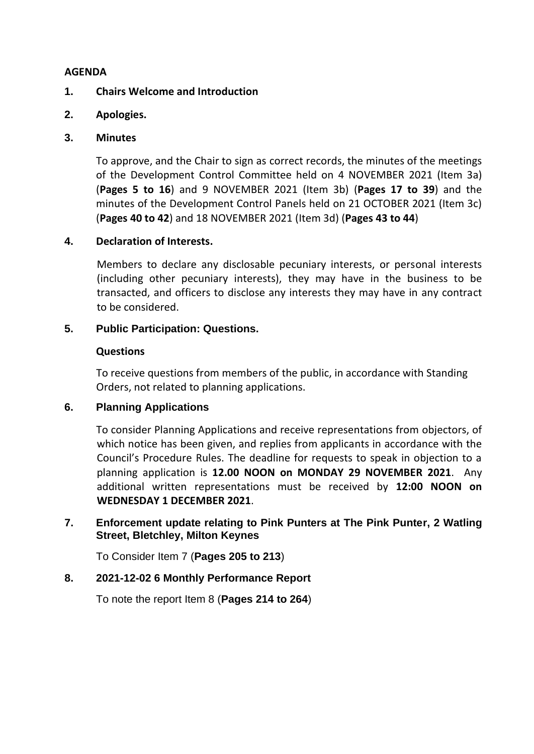## **AGENDA**

# **1. Chairs Welcome and Introduction**

# **2. Apologies.**

## **3. Minutes**

To approve, and the Chair to sign as correct records, the minutes of the meetings of the Development Control Committee held on 4 NOVEMBER 2021 (Item 3a) (**Pages 5 to 16**) and 9 NOVEMBER 2021 (Item 3b) (**Pages 17 to 39**) and the minutes of the Development Control Panels held on 21 OCTOBER 2021 (Item 3c) (**Pages 40 to 42**) and 18 NOVEMBER 2021 (Item 3d) (**Pages 43 to 44**)

# **4. Declaration of Interests.**

Members to declare any disclosable pecuniary interests, or personal interests (including other pecuniary interests), they may have in the business to be transacted, and officers to disclose any interests they may have in any contract to be considered.

# **5. Public Participation: Questions.**

## **Questions**

To receive questions from members of the public, in accordance with Standing Orders, not related to planning applications.

## **6. Planning Applications**

To consider Planning Applications and receive representations from objectors, of which notice has been given, and replies from applicants in accordance with the Council's Procedure Rules. The deadline for requests to speak in objection to a planning application is **12.00 NOON on MONDAY 29 NOVEMBER 2021**. Any additional written representations must be received by **12:00 NOON on WEDNESDAY 1 DECEMBER 2021**.

# **7. Enforcement update relating to Pink Punters at The Pink Punter, 2 Watling Street, Bletchley, Milton Keynes**

To Consider Item 7 (**Pages 205 to 213**)

## **8. 2021-12-02 6 Monthly Performance Report**

To note the report Item 8 (**Pages 214 to 264**)